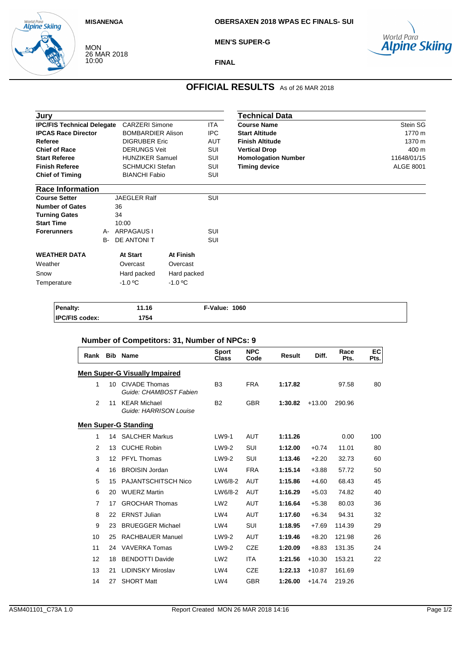### **MISANENGA**

world Para<br>**Alpine Skiing** 

**OBERSAXEN 2018 WPAS EC FINALS- SUI**



MON 26 MAR 2018 10:00

**MEN'S SUPER-G** 

### **FINAL**

## **OFFICIAL RESULTS** As of 26 MAR 2018

| Jury                              |           |                          | Technical Data       |            |                            |                  |
|-----------------------------------|-----------|--------------------------|----------------------|------------|----------------------------|------------------|
| <b>IPC/FIS Technical Delegate</b> |           | <b>CARZERI Simone</b>    |                      | <b>ITA</b> | <b>Course Name</b>         | Stein SG         |
| <b>IPCAS Race Director</b>        |           | <b>BOMBARDIER Alison</b> |                      | <b>IPC</b> | <b>Start Altitude</b>      | 1770 m           |
| Referee                           |           | <b>DIGRUBER Eric</b>     |                      | <b>AUT</b> | <b>Finish Altitude</b>     | 1370 m           |
| <b>Chief of Race</b>              |           | <b>DERUNGS Veit</b>      |                      | SUI        | <b>Vertical Drop</b>       | 400 m            |
| <b>Start Referee</b>              |           | <b>HUNZIKER Samuel</b>   |                      | SUI        | <b>Homologation Number</b> | 11648/01/15      |
| <b>Finish Referee</b>             |           | <b>SCHMUCKI Stefan</b>   |                      | SUI        | <b>Timing device</b>       | <b>ALGE 8001</b> |
| <b>Chief of Timing</b>            |           |                          | <b>BIANCHI Fabio</b> |            |                            |                  |
| <b>Race Information</b>           |           |                          |                      |            |                            |                  |
| <b>Course Setter</b>              |           | <b>JAEGLER Ralf</b>      |                      | SUI        |                            |                  |
| <b>Number of Gates</b>            |           | 36                       |                      |            |                            |                  |
| <b>Turning Gates</b>              |           | 34                       |                      |            |                            |                  |
| <b>Start Time</b>                 |           | 10:00                    |                      |            |                            |                  |
| <b>Forerunners</b>                | A-        | <b>ARPAGAUS I</b>        |                      | SUI        |                            |                  |
|                                   | <b>B-</b> | DE ANTONIT               |                      | SUI        |                            |                  |
| <b>WEATHER DATA</b>               |           | At Start                 | <b>At Finish</b>     |            |                            |                  |
| Weather                           |           | Overcast                 | Overcast             |            |                            |                  |
| Snow                              |           | Hard packed              | Hard packed          |            |                            |                  |
| Temperature                       |           | $-1.0 °C$                | $-1.0$ °C            |            |                            |                  |
|                                   |           |                          |                      |            |                            |                  |
|                                   |           |                          |                      |            |                            |                  |

| <b>Penalty:</b>       | 11.16 | <b>F-Value: 1060</b> |
|-----------------------|-------|----------------------|
| <b>IPC/FIS codex:</b> | 754   |                      |

| Rank           | <b>Bib</b>      | <b>Name</b>                                    | <b>Sport</b><br><b>Class</b> | <b>NPC</b><br>Code | <b>Result</b> | Diff.    | Race<br>Pts. | EC<br>Pts. |
|----------------|-----------------|------------------------------------------------|------------------------------|--------------------|---------------|----------|--------------|------------|
|                |                 | <u> Men Super-G Visually Impaired</u>          |                              |                    |               |          |              |            |
| 1              | 10              | <b>CIVADE Thomas</b><br>Guide: CHAMBOST Fabien | B <sub>3</sub>               | <b>FRA</b>         | 1:17.82       |          | 97.58        | 80         |
| $\overline{2}$ | 11              | <b>KEAR Michael</b><br>Guide: HARRISON Louise  | <b>B2</b>                    | <b>GBR</b>         | 1:30.82       | $+13.00$ | 290.96       |            |
|                |                 | <b>Men Super-G Standing</b>                    |                              |                    |               |          |              |            |
| 1              | 14              | <b>SALCHER Markus</b>                          | $LW9-1$                      | <b>AUT</b>         | 1:11.26       |          | 0.00         | 100        |
| 2              | 13              | <b>CUCHE Robin</b>                             | LW9-2                        | SUI                | 1:12.00       | $+0.74$  | 11.01        | 80         |
| 3              | 12 <sup>2</sup> | <b>PFYL Thomas</b>                             | LW9-2                        | <b>SUI</b>         | 1:13.46       | $+2.20$  | 32.73        | 60         |
| $\overline{4}$ | 16              | <b>BROISIN Jordan</b>                          | LWA                          | <b>FRA</b>         | 1:15.14       | $+3.88$  | 57.72        | 50         |
| 5              | 15              | <b>PAJANTSCHITSCH Nico</b>                     | LW6/8-2                      | <b>AUT</b>         | 1:15.86       | $+4.60$  | 68.43        | 45         |
| 6              | 20              | <b>WUERZ Martin</b>                            | LW6/8-2                      | <b>AUT</b>         | 1:16.29       | $+5.03$  | 74.82        | 40         |
| $\overline{7}$ | 17              | <b>GROCHAR Thomas</b>                          | LW2                          | <b>AUT</b>         | 1:16.64       | $+5.38$  | 80.03        | 36         |
| 8              | 22              | <b>ERNST Julian</b>                            | LW4                          | <b>AUT</b>         | 1:17.60       | $+6.34$  | 94.31        | 32         |
| 9              | 23              | <b>BRUEGGER Michael</b>                        | LW4                          | SUI                | 1:18.95       | $+7.69$  | 114.39       | 29         |
| 10             | 25              | <b>RACHBAUER Manuel</b>                        | LW9-2                        | <b>AUT</b>         | 1:19.46       | $+8.20$  | 121.98       | 26         |
| 11             | 24              | <b>VAVERKA Tomas</b>                           | LW9-2                        | <b>CZE</b>         | 1:20.09       | $+8.83$  | 131.35       | 24         |
| 12             | 18              | <b>BENDOTTI Davide</b>                         | LW2                          | <b>ITA</b>         | 1:21.56       | $+10.30$ | 153.21       | 22         |
| 13             | 21              | <b>LIDINSKY Miroslav</b>                       | LW4                          | <b>CZE</b>         | 1:22.13       | $+10.87$ | 161.69       |            |
| 14             | 27              | <b>SHORT Matt</b>                              | LW4                          | <b>GBR</b>         | 1:26.00       | $+14.74$ | 219.26       |            |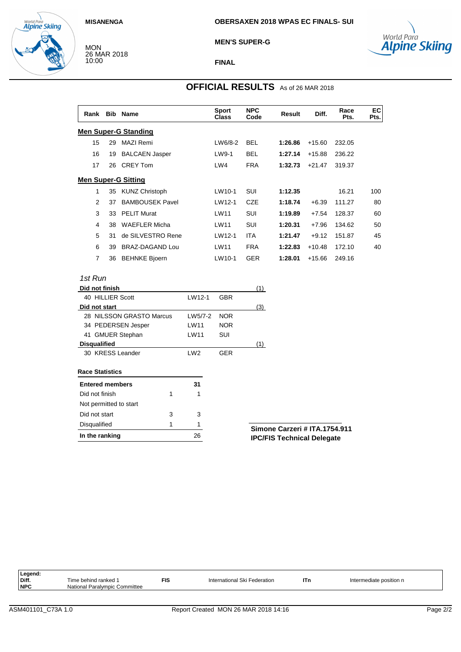MON

10:00



26 MAR 2018

#### **MEN'S SUPER-G**



**FINAL**

## **OFFICIAL RESULTS** As of 26 MAR 2018

|                             |                        | <b>Sport</b><br>Class | <b>NPC</b><br>Code | <b>Result</b> | Diff.    | Race<br>Pts. | EC<br>Pts. |  |  |  |
|-----------------------------|------------------------|-----------------------|--------------------|---------------|----------|--------------|------------|--|--|--|
| <b>Men Super-G Standing</b> |                        |                       |                    |               |          |              |            |  |  |  |
| 29                          | <b>MAZI Remi</b>       | LW6/8-2               | <b>BEL</b>         | 1:26.86       | $+15.60$ | 232.05       |            |  |  |  |
| 19                          | <b>BALCAEN Jasper</b>  | LW9-1                 | <b>BEL</b>         | 1:27.14       | $+15.88$ | 236.22       |            |  |  |  |
| 26                          | <b>CREY Tom</b>        | LW4                   | <b>FRA</b>         | 1:32.73       | $+21.47$ | 319.37       |            |  |  |  |
| <b>Men Super-G Sitting</b>  |                        |                       |                    |               |          |              |            |  |  |  |
| 35                          | <b>KUNZ Christoph</b>  | LW10-1                | SUI                | 1:12.35       |          | 16.21        | 100        |  |  |  |
| 37                          | <b>BAMBOUSEK Pavel</b> | LW12-1                | <b>CZE</b>         | 1:18.74       | $+6.39$  | 111.27       | 80         |  |  |  |
| 33                          | <b>PELIT Murat</b>     | LW11                  | SUI                | 1:19.89       | $+7.54$  | 128.37       | 60         |  |  |  |
| 38                          | <b>WAEFLER Micha</b>   | LW11                  | SUI                | 1:20.31       | $+7.96$  | 134.62       | 50         |  |  |  |
| 31                          | de SILVESTRO Rene      | LW12-1                | <b>ITA</b>         | 1:21.47       | $+9.12$  | 151.87       | 45         |  |  |  |
| 39                          | BRAZ-DAGAND Lou        | LW11                  | <b>FRA</b>         | 1:22.83       | $+10.48$ | 172.10       | 40         |  |  |  |
| 36                          | <b>BEHNKE Bjoern</b>   | LW10-1                | <b>GER</b>         | 1:28.01       | $+15.66$ | 249.16       |            |  |  |  |
|                             |                        | <b>Bib Name</b>       |                    |               |          |              |            |  |  |  |

## 1st Run

| Did not finish           |   |                 |            | (1)            |
|--------------------------|---|-----------------|------------|----------------|
| 40 HILLIER Scott         |   | LW12-1          | GBR        |                |
| Did not start            |   |                 |            | (3)            |
| 28 NILSSON GRASTO Marcus |   | LW5/7-2         | <b>NOR</b> |                |
| 34 PEDERSEN Jesper       |   | LW11            | <b>NOR</b> |                |
| 41 GMUER Stephan         |   | LW11            | SUI        |                |
| <b>Disqualified</b>      |   |                 |            | (1)            |
| 30 KRESS Leander         |   | LW <sub>2</sub> | <b>GER</b> |                |
| <b>Race Statistics</b>   |   |                 |            |                |
| <b>Entered members</b>   |   | 31              |            |                |
| Did not finish           | 1 | 1               |            |                |
| Not permitted to start   |   |                 |            |                |
| Did not start            | 3 | 3               |            |                |
| Disqualified             | 1 | 1               |            | Simone         |
| In the ranking           |   | 26              |            | <b>IPC/FIS</b> |

### **Simone Carzeri # ITA.1754.911 Technical Delegate**

| Legend:    |                               |                      |                              |     |                         |
|------------|-------------------------------|----------------------|------------------------------|-----|-------------------------|
| Diff.      | Time behind ranked            | <b>FIS</b><br>$\sim$ | International Ski Federation | lTn | Intermediate position n |
| <b>NPC</b> | National Paralympic Committee |                      |                              |     |                         |
|            |                               |                      |                              |     |                         |